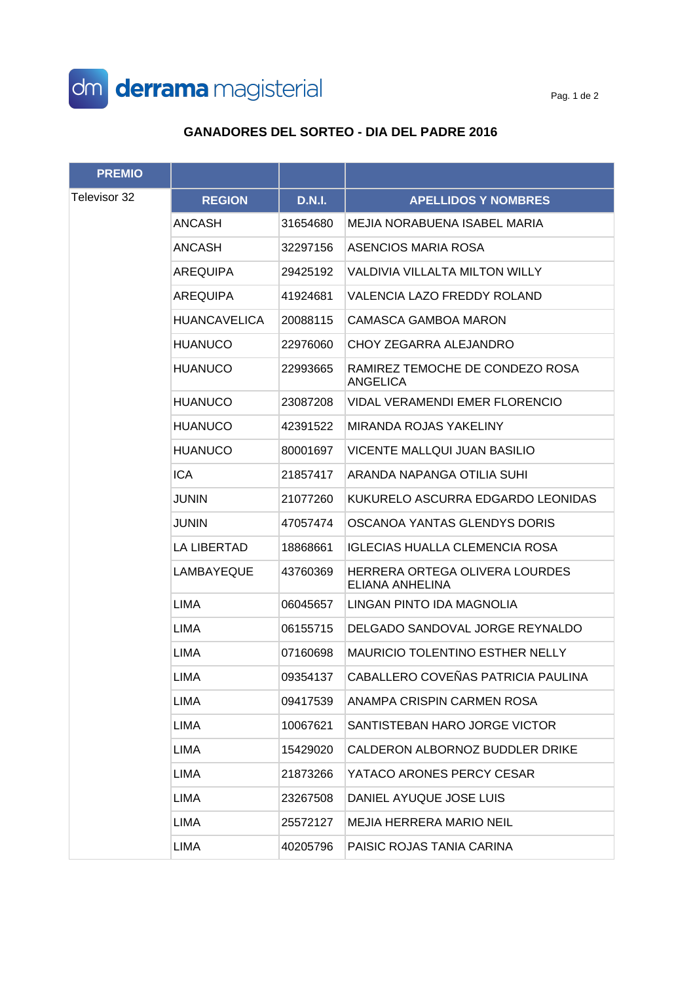

## **GANADORES DEL SORTEO - DIA DEL PADRE 2016**

| <b>PREMIO</b> |                     |               |                                                    |
|---------------|---------------------|---------------|----------------------------------------------------|
| Televisor 32  | <b>REGION</b>       | <b>D.N.I.</b> | <b>APELLIDOS Y NOMBRES</b>                         |
|               | ANCASH              | 31654680      | MEJIA NORABUENA ISABEL MARIA                       |
|               | ANCASH              | 32297156      | ASENCIOS MARIA ROSA                                |
|               | AREQUIPA            | 29425192      | VALDIVIA VILLALTA MILTON WILLY                     |
|               | AREQUIPA            | 41924681      | VALENCIA LAZO FREDDY ROLAND                        |
|               | <b>HUANCAVELICA</b> | 20088115      | CAMASCA GAMBOA MARON                               |
|               | <b>HUANUCO</b>      | 22976060      | CHOY ZEGARRA ALEJANDRO                             |
|               | <b>HUANUCO</b>      | 22993665      | RAMIREZ TEMOCHE DE CONDEZO ROSA<br><b>ANGELICA</b> |
|               | <b>HUANUCO</b>      | 23087208      | VIDAL VERAMENDI EMER FLORENCIO                     |
|               | <b>HUANUCO</b>      | 42391522      | MIRANDA ROJAS YAKELINY                             |
|               | <b>HUANUCO</b>      | 80001697      | VICENTE MALLQUI JUAN BASILIO                       |
|               | <b>ICA</b>          | 21857417      | ARANDA NAPANGA OTILIA SUHI                         |
|               | <b>JUNIN</b>        | 21077260      | KUKURELO ASCURRA EDGARDO LEONIDAS                  |
|               | <b>JUNIN</b>        | 47057474      | OSCANOA YANTAS GLENDYS DORIS                       |
|               | LA LIBERTAD         | 18868661      | <b>IGLECIAS HUALLA CLEMENCIA ROSA</b>              |
|               | LAMBAYEQUE          | 43760369      | HERRERA ORTEGA OLIVERA LOURDES<br>ELIANA ANHELINA  |
|               | LIMA                | 06045657      | LINGAN PINTO IDA MAGNOLIA                          |
|               | LIMA                | 06155715      | DELGADO SANDOVAL JORGE REYNALDO                    |
|               | <b>LIMA</b>         | 07160698      | <b>MAURICIO TOLENTINO ESTHER NELLY</b>             |
|               | <b>LIMA</b>         | 09354137      | CABALLERO COVEÑAS PATRICIA PAULINA                 |
|               | LIMA                | 09417539      | ANAMPA CRISPIN CARMEN ROSA                         |
|               | LIMA                | 10067621      | SANTISTEBAN HARO JORGE VICTOR                      |
|               | LIMA                | 15429020      | CALDERON ALBORNOZ BUDDLER DRIKE                    |
|               | LIMA                | 21873266      | YATACO ARONES PERCY CESAR                          |
|               | LIMA                | 23267508      | DANIEL AYUQUE JOSE LUIS                            |
|               | LIMA                | 25572127      | MEJIA HERRERA MARIO NEIL                           |
|               | LIMA                | 40205796      | PAISIC ROJAS TANIA CARINA                          |